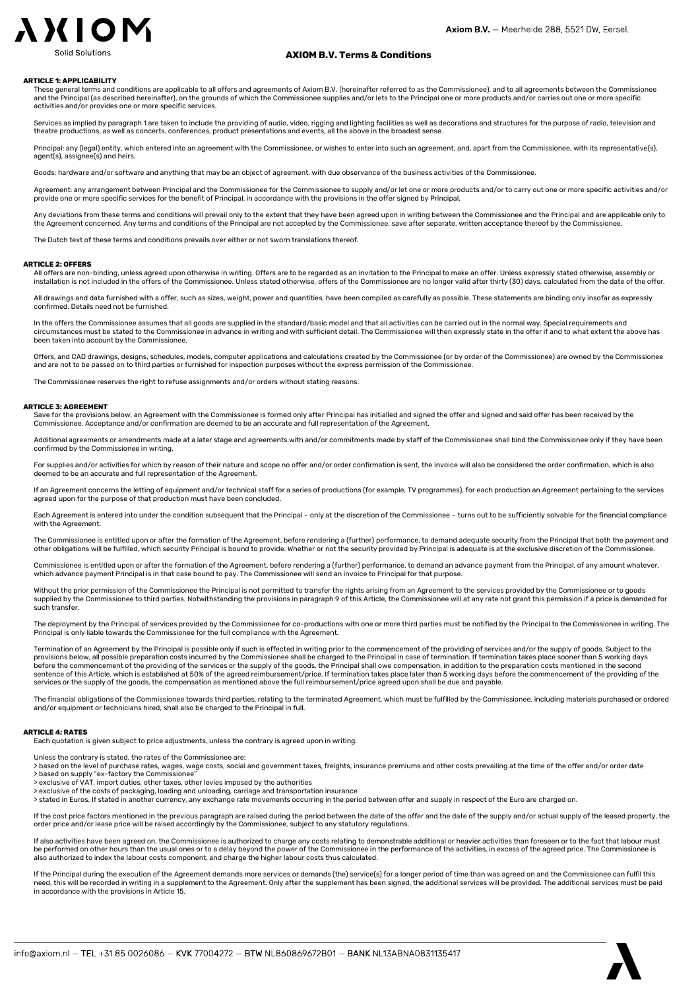# **AXION**

### AXIOM B.V. Terms & Conditions

#### ARTICLE 1: APPLICABILITY

These general terms and conditions are applicable to all offers and agreements of Axiom B.V. (hereinafter referred to as the Commissionee), and to all agreements between the Commissionee and the Principal (as described hereinafter), on the grounds of which the Commissionee supplies and/or lets to the Principal one or more products and/or carries out one or more specific activities and/or provides one or more specific services.

Services as implied by paragraph 1 are taken to include the providing of audio, video, rigging and lighting facilities as well as decorations and structures for the purpose of radio, television and theatre productions, as well as concerts, conferences, product presentations and events, all the above in the broadest sense.

Principal: any (legal) entity, which entered into an agreement with the Commissionee, or wishes to enter into such an agreement, and, apart from the Commissionee, with its representative(s), agent(s), assignee(s) and heirs.

Goods: hardware and/or software and anything that may be an object of agreement, with due observance of the business activities of the Commissionee.

Agreement: any arrangement between Principal and the Commissionee for the Commissionee to supply and/or let one or more products and/or to carry out one or more specific activities and/or provide one or more specific services for the benefit of Principal, in accordance with the provisions in the offer signed by Principal.

Any deviations from these terms and conditions will prevail only to the extent that they have been agreed upon in writing between the Commissionee and the Principal and are applicable only to the Agreement concerned. Any terms and conditions of the Principal are not accepted by the Commissionee, save after separate, written acceptance thereof by the Commissionee.

The Dutch text of these terms and conditions prevails over either or not sworn translations thereof.

#### ARTICLE 2: OFFERS

All offers are non-binding, unless agreed upon otherwise in writing. Offers are to be regarded as an invitation to the Principal to make an offer. Unless expressly stated otherwise, assembly o installation is not included in the offers of the Commissionee. Unless stated otherwise, offers of the Commissionee are no longer valid after thirty (30) days, calculated from the date of the offer.

All drawings and data furnished with a offer, such as sizes, weight, power and quantities, have been compiled as carefully as possible. These statements are binding only insofar as expressly confirmed. Details need not be furnished.

In the offers the Commissionee assumes that all goods are supplied in the standard/basic model and that all activities can be carried out in the normal way. Special requirements and circumstances must be stated to the Commissionee in advance in writing and with sufficient detail. The Commissionee will then expressly state in the offer if and to what extent the above has been taken into account by the Commissionee.

Offers, and CAD drawings, designs, schedules, models, computer applications and calculations created by the Commissionee (or by order of the Commissionee) are owned by the Commissionee and are not to be passed on to third parties or furnished for inspection purposes without the express permission of the Commissionee.

The Commissionee reserves the right to refuse assignments and/or orders without stating reasons.

#### ARTICLE 3: AGREEMENT

Save for the provisions below, an Agreement with the Commissionee is formed only after Principal has initialled and signed the offer and signed and said offer has been received by the Commissionee. Acceptance and/or confirmation are deemed to be an accurate and full representation of the Agreement.

Additional agreements or amendments made at a later stage and agreements with and/or commitments made by staff of the Commissionee shall bind the Commissionee only if they have been confirmed by the Commissionee in writing.

For supplies and/or activities for which by reason of their nature and scope no offer and/or order confirmation is sent, the invoice will also be considered the order confirmation, which is also deemed to be an accurate and full representation of the Agreement.

If an Agreement concerns the letting of equipment and/or technical staff for a series of productions (for example, TV programmes), for each production an Agreement pertaining to the services agreed upon for the purpose of that production must have been concluded.

Each Agreement is entered into under the condition subsequent that the Principal - only at the discretion of the Commissionee - turns out to be sufficiently solvable for the financial compliance with the Agreement.

The Commissionee is entitled upon or after the formation of the Agreement, before rendering a (further) performance, to demand adequate security from the Principal that both the payment and<br>other obligations will be fulfil

Commissionee is entitled upon or after the formation of the Agreement, before rendering a (further) performance, to demand an advance payment from the Principal, of any amount whatever which advance payment Principal is in that case bound to pay. The Commissionee will send an invoice to Principal for that purpose.

Without the prior permission of the Commissionee the Principal is not permitted to transfer the rights arising from an Agreement to the services provided by the Commissionee or to goods<br>supplied by the Commissionee to thir such transfer.

The deployment by the Principal of services provided by the Commissionee for co-productions with one or more third parties must be notified by the Principal to the Commissionee in writing. The Principal is only liable towards the Commissionee for the full compliance with the Agreement.

Termination of an Agreement by the Principal is possible only if such is effected in writing prior to the commencement of the providing of services and/or the supply of goods. Subject to the provisions below, all possible preparation costs incurred by the Commissionee shall be charged to the Principal in case of termination. If termination takes place sooner than 5 working days before the commencement of the p before the commencement of the providing of the services or the supply of the goods, the Principal shall owe compensation, in addition to the preparation costs mentioned in the sec sentence of this Article, which is established at 50% of the agreed reimbursement/price. If termination takes place later than 5 working days before the commencement of the providing of the<br>services or the supply of the go

The financial obligations of the Commissionee towards third parties, relating to the terminated Agreement, which must be fulfilled by the Commissionee, including materials purchased or ordered and/or equipment or technicians hired, shall also be charged to the Principal in full.

#### ARTICLE 4: RATES

Each quotation is given subject to price adjustments, unless the contrary is agreed upon in writing.

Unless the contrary is stated, the rates of the Commissionee are:

> based on the level of purchase rates, wages, wage costs, social and government taxes, freights, insurance premiums and other costs prevailing at the time of the offer and/or order date > based on supply "ex-factory the Commissionee"

- > exclusive of VAT, import duties, other taxes, other levies imposed by the authorities
- > exclusive of the costs of packaging, loading and unloading, carriage and transportation insurance

> stated in Euros. If stated in another currency, any exchange rate movements occurring in the period between offer and supply in respect of the Euro are charged on.

If the cost price factors mentioned in the previous paragraph are raised during the period between the date of the offer and the date of the supply and/or actual supply of the leased property, the<br>order price and/or lease

If also activities have been agreed on, the Commissionee is authorized to charge any costs relating to demonstrable additional or heavier activities than foreseen or to the fact that labour must<br>be performed on other hours also authorized to index the labour costs component, and charge the higher labour costs thus calculated.

If the Principal during the execution of the Agreement demands more services or demands (the) service(s) for a longer period of time than was agreed on and the Commissionee can fulfil this need, this will be recorded in writing in a supplement to the Agreement. Only after the supplement has been signed, the additional services will be provided. The additional services must be paid in accordance with the provisions in Article 15.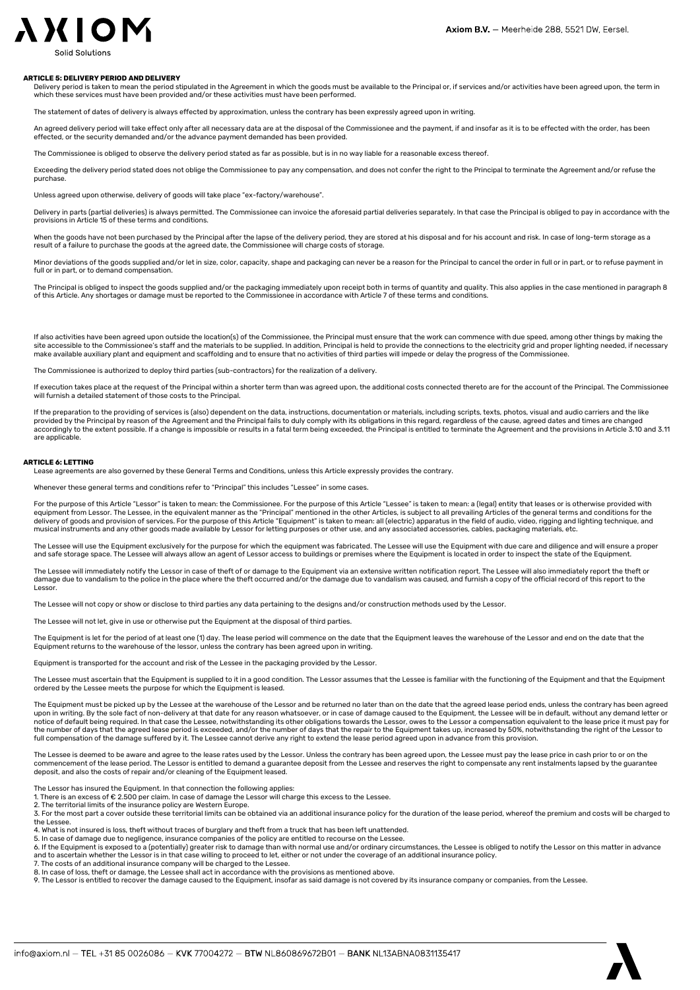## **AXIOM**

#### ARTICLE 5: DELIVERY PERIOD AND DELIVERY

Delivery period is taken to mean the period stipulated in the Agreement in which the goods must be available to the Principal or, if services and/or activities have been agreed upon, the term in which these services must have been provided and/or these activities must have been performed.

The statement of dates of delivery is always effected by approximation, unless the contrary has been expressly agreed upon in writing.

An agreed delivery period will take effect only after all necessary data are at the disposal of the Commissionee and the payment, if and insofar as it is to be effected with the order, has been effected, or the security demanded and/or the advance payment demanded has been provided.

The Commissionee is obliged to observe the delivery period stated as far as possible, but is in no way liable for a reasonable excess thereof.

Exceeding the delivery period stated does not oblige the Commissionee to pay any compensation, and does not confer the right to the Principal to terminate the Agreement and/or refuse the purchase.

Unless agreed upon otherwise, delivery of goods will take place "ex-factory/warehouse".

Delivery in parts (partial deliveries) is always permitted. The Commissionee can invoice the aforesaid partial deliveries separately. In that case the Principal is obliged to pay in accordance with the provisions in Article 15 of these terms and conditions.

When the goods have not been purchased by the Principal after the lapse of the delivery period, they are stored at his disposal and for his account and risk. In case of long-term storage as a result of a failure to purchase the goods at the agreed date, the Commissionee will charge costs of storage.

Minor deviations of the goods supplied and/or let in size, color, capacity, shape and packaging can never be a reason for the Principal to cancel the order in full or in part, or to refuse payment in full or in part, or to demand compensation.

The Principal is obliged to inspect the goods supplied and/or the packaging immediately upon receipt both in terms of quantity and quality. This also applies in the case mentioned in paragraph 8 of this Article. Any shortages or damage must be reported to the Commissionee in accordance with Article 7 of these terms and conditions.

If also activities have been agreed upon outside the location(s) of the Commissionee, the Principal must ensure that the work can commence with due speed, among other things by making the site accessible to the Commissionee's staff and the materials to be supplied. In addition, Principal is held to provide the connections to the electricity grid and proper lighting needed, if necessary<br>make available auxili

The Commissionee is authorized to deploy third parties (sub-contractors) for the realization of a delivery.

If execution takes place at the request of the Principal within a shorter term than was agreed upon, the additional costs connected thereto are for the account of the Principal. The Commissionee iled statement of those costs to the Principal

If the preparation to the providing of services is (also) dependent on the data, instructions, documentation or materials, including scripts, texts, photos, visual and audio carriers and the like provided by the Principal by reason of the Agreement and the Principal fails to duly comply with its obligations in this regard, regardless of the cause, agreed dates and times are changed<br>accordingly to the extent possibl are applicable.

#### ARTICLE 6: LETTING

Lease agreements are also governed by these General Terms and Conditions, unless this Article expressly provides the contrary.

Whenever these general terms and conditions refer to "Principal" this includes "Lessee" in some cases.

For the purpose of this Article "Lessor" is taken to mean: the Commissionee. For the purpose of this Article "Lessee" is taken to mean: a (legal) entity that leases or is otherwise provided with<br>equipment from Lessor. The delivery of goods and provision of services. For the purpose of this Article "Equipment" is taken to mean: all (electric) apparatus in the field of audio, video, rigging and lighting technique, and musical instruments and any other goods made available by Lessor for letting purposes or other use, and any associated accessories, cables, packaging materials, etc.

The Lessee will use the Equipment exclusively for the purpose for which the equipment was fabricated. The Lessee will use the Equipment with due care and diligence and will ensure a proper and safe storage space. The Lessee will always allow an agent of Lessor access to buildings or premises where the Equipment is located in order to inspect the state of the Equipment.

The Lessee will immediately notify the Lessor in case of theft of or damage to the Equipment via an extensive written notification report. The Lessee will also immediately report the theft or damage due to vandalism to the police in the place where the theft occurred and/or the damage due to vandalism was caused, and furnish a copy of the official record of this report to the Lessor.

The Lessee will not copy or show or disclose to third parties any data pertaining to the designs and/or construction methods used by the Lessor.

The Lessee will not let, give in use or otherwise put the Equipment at the disposal of third parties.

The Equipment is let for the period of at least one (1) day. The lease period will commence on the date that the Equipment leaves the warehouse of the Lessor and end on the date that the Equipment returns to the warehouse of the lessor, unless the contrary has been agreed upon in writing.

Equipment is transported for the account and risk of the Lessee in the packaging provided by the Lessor.

The Lessee must ascertain that the Equipment is supplied to it in a good condition. The Lessor assumes that the Lessee is familiar with the functioning of the Equipment and that the Equipment ordered by the Lessee meets the purpose for which the Equipment is leased.

The Equipment must be picked up by the Lessee at the warehouse of the Lessor and be returned no later than on the date that the agreed lease period ends, unless the contrary has been agreed upon in writing. By the sole fact of non-delivery at that date for any reason whatsoever, or in case of damage caused to the Equipment, the Lessee will be in default, without any demand letter or notice of default being required. In that case the Lessee, notwithstanding its other obligations towards the Lessor, owes to the Lessor a compensation equivalent to the lease price it must pay for<br>the number of days that t full compensation of the damage suffered by it. The Lessee cannot derive any right to extend the lease period agreed upon in advance from this provision.

The Lessee is deemed to be aware and agree to the lease rates used by the Lessor. Unless the contrary has been agreed upon, the Lessee must pay the lease price in cash prior to or on the commencement of the lease period. The Lessor is entitled to demand a guarantee deposit from the Lessee and reserves the right to compensate any rent instalments lapsed by the guarantee deposit, and also the costs of repair and/or cleaning of the Equipment leased.

The Lessor has insured the Equipment. In that connection the following applies:

1. There is an excess of € 2.500 per claim. In case of damage the Lessor will charge this excess to the Lessee.<br>2. The territorial limits of the insurance policy are Western Europe.

3. For the most part a cover outside these territorial limits can be obtained via an additional insurance policy for the duration of the lease period, whereof the premium and costs will be charged to the Lessee.

4. What is not insured is loss, theft without traces of burglary and theft from a truck that has been left unattended.<br>5. In case of damage due to negligence, insurance companies of the policy are entitled to recourse on t

6. If the Equipment is exposed to a (potentially) greater risk to damage than with normal use and/or ordinary circumstances, the Lessee is obliged to notify the Lessor on this matter in advance<br>and to ascertain whether the

7. The costs of an additional insurance company will be charged to the Lessee.

8. In case of loss, theft or damage, the Lessee shall act in accordance with the provisions as mentioned above.

9. The Lessor is entitled to recover the damage caused to the Equipment, insofar as said damage is not covered by its insurance company or companies, from the Lessee.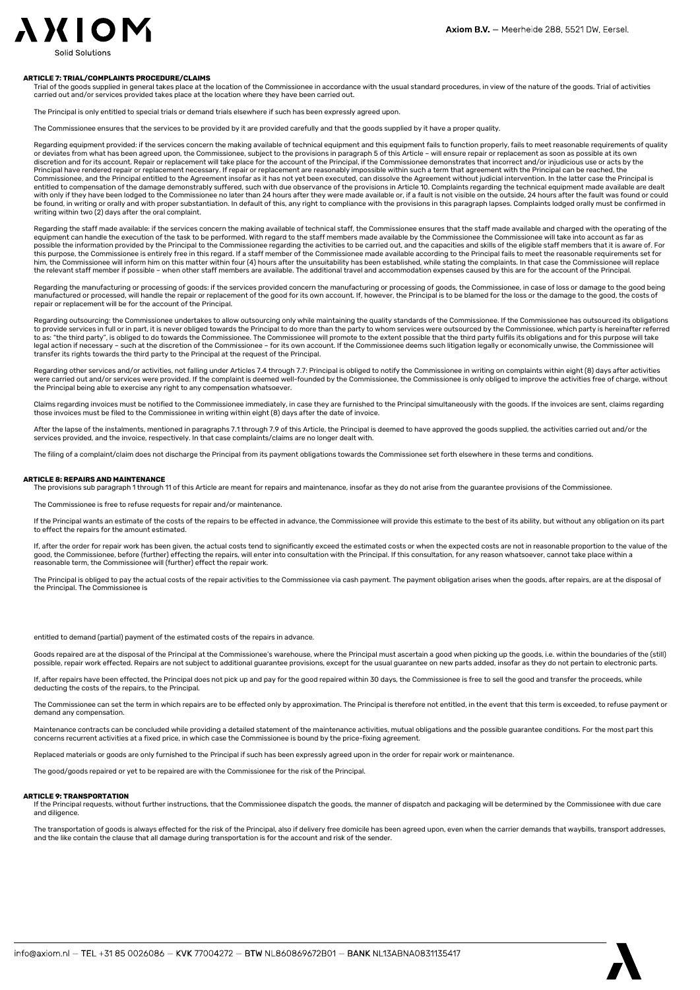### **AXION**

#### ARTICLE 7: TRIAL/COMPLAINTS PROCEDURE/CLAIMS

Trial of the goods supplied in general takes place at the location of the Commissionee in accordance with the usual standard procedures, in view of the nature of the goods. Trial of activities carried out and/or services provided takes place at the location where they have been carried out.

The Principal is only entitled to special trials or demand trials elsewhere if such has been expressly agreed upon.

The Commissionee ensures that the services to be provided by it are provided carefully and that the goods supplied by it have a proper quality.

Regarding equipment provided: if the services concern the making available of technical equipment and this equipment fails to function properly, fails to meet reasonable requirements of quality or deviates from what has been agreed upon, the Commissionee, subject to the provisions in paragraph 5 of this Article – will ensure repair or replacement as soon as possible at its own<br>discretion and for its account. Repa Principal have rendered repair or replacement necessary. If repair or replacement are reasonably impossible within such a term that agreement with the Principal can be reached, the Commissionee, and the Principal entitled to the Agreement insofar as it has not yet been executed, can dissolve the Agreement without judicial intervention. In the latter case the Principal is entitled to compensation of the damage demonstrably suffered, such with due observance of the provisions in Article 10. Complaints regarding the technical equipment made available are dealt<br>with only if they have been lodg be found, in writing or orally and with proper substantiation. In default of this, any right to compliance with the provisions in this paragraph lapses. Complaints lodged orally must be confirmed in<br>writing within two (2)

Regarding the staff made available: if the services concern the making available of technical staff, the Commissionee ensures that the staff made available and charged with the operating of the equipment can handle the execution of the task to be performed. With regard to the staff members made available by the Commissionee the Commissionee will take into account as far as possible the information provided by the Principal to the Commissionee regarding the activities to be carried out, and the capacities and skills of the eligible staff members that it is aware of. For this purpose, the Commissionee is entirely free in this regard. If a staff member of the Commissionee made available according to the Principal fails to meet the reasonable requirements set for<br>him, the Commissionee will i the relevant staff member if possible – when other staff members are available. The additional travel and accommodation expenses caused by this are for the account of the Principal.

Regarding the manufacturing or processing of goods: if the services provided concern the manufacturing or processing of goods, the Commissionee, in case of loss or damage to the good being manufactured or processed, will handle the repair or replacement of the good for its own account. If, however, the Principal is to be blamed for the loss or the damage to the good, the costs of repair or replacement will be for the account of the Principal.

Regarding outsourcing: the Commissionee undertakes to allow outsourcing only while maintaining the quality standards of the Commissionee. If the Commissionee has outsourced its obligations to provide services in full or in part, it is never obliged towards the Principal to do more than the party to whom services were outsourced by the Commissionee, which party is hereinafter referred<br>to as: "the third party" legal action if necessary - such at the discretion of the Commissionee - for its own account. If the Commissionee deems such litigation legally or economically unwise, the Commissionee will transfer its rights towards the third party to the Principal at the request of the Principal.

Regarding other services and/or activities, not falling under Articles 7.4 through 7.7: Principal is obliged to notify the Commissionee in writing on complaints within eight (8) days after activities<br>were carried out and/o the Principal being able to exercise any right to any compensation whatsoever.

Claims regarding invoices must be notified to the Commissionee immediately, in case they are furnished to the Principal simultaneously with the goods. If the invoices are sent, claims regarding<br>those invoices must be filed

After the lapse of the instalments, mentioned in paragraphs 7.1 through 7.9 of this Article, the Principal is deemed to have approved the goods supplied, the activities carried out and/or the services provided, and the invoice, respectively. In that case complaints/claims are no longer dealt with.

The filing of a complaint/claim does not discharge the Principal from its payment obligations towards the Commissionee set forth elsewhere in these terms and conditions

#### ARTICLE 8: REPAIRS AND MAINTENANCE

The provisions sub paragraph 1 through 11 of this Article are meant for repairs and maintenance, insofar as they do not arise from the guarantee provisions of the Commissionee.

The Commissionee is free to refuse requests for repair and/or maintenance.

If the Principal wants an estimate of the costs of the repairs to be effected in advance, the Commissionee will provide this estimate to the best of its ability, but without any obligation on its part to effect the repairs for the amount estimated.

If, after the order for repair work has been given, the actual costs tend to significantly exceed the estimated costs or when the expected costs are not in reasonable proportion to the value of the good, the Commissionee, before (further) effecting the repairs, will enter into consultation with the Principal. If this consultation, for any reason whatsoever, cannot take place within a reasonable term, the Commissionee will (further) effect the repair work.

The Principal is obliged to pay the actual costs of the repair activities to the Commissionee via cash payment. The payment obligation arises when the goods, after repairs, are at the disposal of the Principal. The Commissionee is

entitled to demand (partial) payment of the estimated costs of the repairs in advance.

Goods repaired are at the disposal of the Principal at the Commissionee's warehouse, where the Principal must ascertain a good when picking up the goods, i.e. within the boundaries of the (still) possible, repair work effected. Repairs are not subject to additional guarantee provisions, except for the usual guarantee on new parts added, insofar as they do not pertain to electronic parts.

If, after repairs have been effected, the Principal does not pick up and pay for the good repaired within 30 days, the Commissionee is free to sell the good and transfer the proceeds, while deducting the costs of the repairs, to the Principal.

The Commissionee can set the term in which repairs are to be effected only by approximation. The Principal is therefore not entitled, in the event that this term is exceeded, to refuse payment or demand any compensation.

Maintenance contracts can be concluded while providing a detailed statement of the maintenance activities, mutual obligations and the possible guarantee conditions. For the most part this concerns recurrent activities at a fixed price, in which case the Commissionee is bound by the price-fixing agreement.

Replaced materials or goods are only furnished to the Principal if such has been expressly agreed upon in the order for repair work or maintenance.

The good/goods repaired or yet to be repaired are with the Commissionee for the risk of the Principal.

#### ARTICLE 9: TRANSPORTATION

If the Principal requests, without further instructions, that the Commissionee dispatch the goods, the manner of dispatch and packaging will be determined by the Commissionee with due care and diligence.

The transportation of goods is always effected for the risk of the Principal, also if delivery free domicile has been agreed upon, even when the carrier demands that waybills, transport addresses, and the like contain the clause that all damage during transportation is for the account and risk of the sender.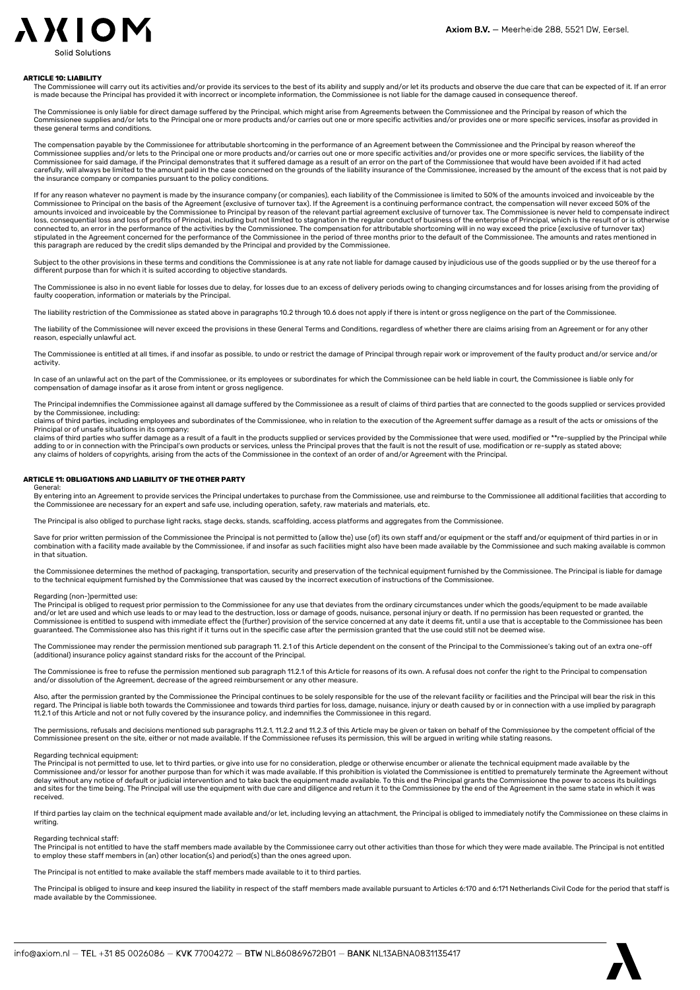

#### ARTICLE 10: LIABILITY

The Commissionee will carry out its activities and/or provide its services to the best of its ability and supply and/or let its products and observe the due care that can be expected of it. If an error is made because the Principal has provided it with incorrect or incomplete information, the Commissionee is not liable for the damage caused in consequence thereof.

The Commissionee is only liable for direct damage suffered by the Principal, which might arise from Agreements between the Commissionee and the Principal by reason of which the Commissionee supplies and/or lets to the Principal one or more products and/or carries out one or more specific activities and/or provides one or more specific services, insofar as provided in these general terms and conditions.

The compensation payable by the Commissionee for attributable shortcoming in the performance of an Agreement between the Commissionee and the Principal by reason whereof the Commissionee supplies and/or lets to the Principal one or more products and/or carries out one or more specific activities and/or provides one or more specific services, the liability of the<br>Commissionee for said damage, i carefully, will always be limited to the amount paid in the case concerned on the grounds of the liability insurance of the Commissionee, increased by the amount of the excess that is not paid by the insurance company or companies pursuant to the policy conditions.

If for any reason whatever no payment is made by the insurance company (or companies), each liability of the Commissionee is limited to 50% of the amounts invoiced and invoiceable by the Commissionee to Principal on the basis of the Agreement (exclusive of turnover tax). If the Agreement is a continuing performance contract, the compensation will never exceed 50% of the<br>amounts invoiced and invoiceable by loss, consequential loss and loss of profits of Principal, including but not limited to stagnation in the regular conduct of business of the enterprise of Principal, which is the result of or is otherwise<br>connected to, an stipulated in the Agreement concerned for the performance of the Commissionee in the period of three months prior to the default of the Commissionee. The amounts and rates mentioned in this paragraph are reduced by the credit slips demanded by the Principal and provided by the Commissionee.

Subject to the other provisions in these terms and conditions the Commissionee is at any rate not liable for damage caused by injudicious use of the goods supplied or by the use thereof for a different purpose than for which it is suited according to objective standards.

The Commissionee is also in no event liable for losses due to delay, for losses due to an excess of delivery periods owing to changing circumstances and for losses arising from the providing of faulty cooperation, information or materials by the Principal.

The liability restriction of the Commissionee as stated above in paragraphs 10.2 through 10.6 does not apply if there is intent or gross negligence on the part of the Commissionee.

The liability of the Commissionee will never exceed the provisions in these General Terms and Conditions, regardless of whether there are claims arising from an Agreement or for any other reason, especially unlawful act.

The Commissionee is entitled at all times, if and insofar as possible, to undo or restrict the damage of Principal through repair work or improvement of the faulty product and/or service and/or activity.

In case of an unlawful act on the part of the Commissionee, or its employees or subordinates for which the Commissionee can be held liable in court, the Commissionee is liable only for compensation of damage insofar as it arose from intent or gross negligence.

The Principal indemnifies the Commissionee against all damage suffered by the Commissionee as a result of claims of third parties that are connected to the goods supplied or services provided by the Commissionee, including:

claims of third parties, including employees and subordinates of the Commissionee, who in relation to the execution of the Agreement suffer damage as a result of the acts or omissions of the Principal or of unsafe situations in its company;

claims of third parties who suffer damage as a result of a fault in the products supplied or services provided by the Commissionee that were used, modified or \*\*re-supplied by the Principal while<br>adding to or in connection any claims of holders of copyrights, arising from the acts of the Commissionee in the context of an order of and/or Agreement with the Principal.

#### ARTICLE 11: OBLIGATIONS AND LIABILITY OF THE OTHER PARTY

General:<br>By entering into an Agreement to provide services the Principal undertakes to purchase from the Commissionee, use and reimburse to the Commissionee all additional facilities that according to<br>the Commissionee are

The Principal is also obliged to purchase light racks, stage decks, stands, scaffolding, access platforms and aggregates from the Commissionee.

Save for prior written permission of the Commissionee the Principal is not permitted to (allow the) use (of) its own staff and/or equipment or the staff and/or equipment of third parties in or in combination with a facility made available by the Commissionee, if and insofar as such facilities might also have been made available by the Commissionee and such making available is common in that situation.

the Commissionee determines the method of packaging, transportation, security and preservation of the technical equipment furnished by the Commissionee. The Principal is liable for damage to the technical equipment furnished by the Commissionee that was caused by the incorrect execution of instructions of the Commissionee.

#### Regarding (non-)permitted use:

The Principal is obliged to request prior permission to the Commissionee for any use that deviates from the ordinary circumstances under which the goods/equipment to be made available and/or let are used and which use leads to or may lead to the destruction, loss or damage of goods, nuisance, personal injury or death. If no permission has been requested or granted, the Commissionee is entitled to suspend with immediate effect the (further) provision of the service concerned at any date it deems fit, until a use that is acceptable to the Commissionee has been guaranteed. The Commissionee also has this right if it turns out in the specific case after the permission granted that the use could still not be deemed wise.

The Commissionee may render the permission mentioned sub paragraph 11. 2.1 of this Article dependent on the consent of the Principal to the Commissionee's taking out of an extra one-off (additional) insurance policy against standard risks for the account of the Principal.

The Commissionee is free to refuse the permission mentioned sub paragraph 11.2.1 of this Article for reasons of its own. A refusal does not confer the right to the Principal to compensation<br>and/or dissolution of the Agreem

Also, after the permission granted by the Commissionee the Principal continues to be solely responsible for the use of the relevant facility or facilities and the Principal will bear the risk in this regard. The Principal is liable both towards the Commissionee and towards third parties for loss, damage, nuisance, injury or death caused by or in connection with a use implied by paragraph<br>11.2.1 of this Article and not

The permissions, refusals and decisions mentioned sub paragraphs 11.2.1, 11.2.2 and 11.2.3 of this Article may be given or taken on behalf of the Commissionee by the competent official of the Commissionee present on the site, either or not made available. If the Commissionee refuses its permission, this will be argued in writing while stating reasons.

#### Regarding technical equipment:

The Principal is not permitted to use, let to third parties, or give into use for no consideration, pledge or otherwise encumber or alienate the technical equipment made available by the Commissionee and/or lessor for another purpose than for which it was made available. If this prohibition is violated the Commissionee is entitled to prematurely terminate the Agreement without delay without any notice of default or judicial intervention and to take back the equipment made available. To this end the Principal grants the Commissionee the power to access its buildings<br>and sites for the time being. received.

If third parties lay claim on the technical equipment made available and/or let, including levying an attachment, the Principal is obliged to immediately notify the Commissionee on these claims in writing.

#### Regarding technical staff:

The Principal is not entitled to have the staff members made available by the Commissionee carry out other activities than those for which they were made available. The Principal is not entitled<br>to employ these staff membe

The Principal is not entitled to make available the staff members made available to it to third parties.

The Principal is obliged to insure and keep insured the liability in respect of the staff members made available pursuant to Articles 6:170 and 6:171 Netherlands Civil Code for the period that staff is made available by the Commissionee.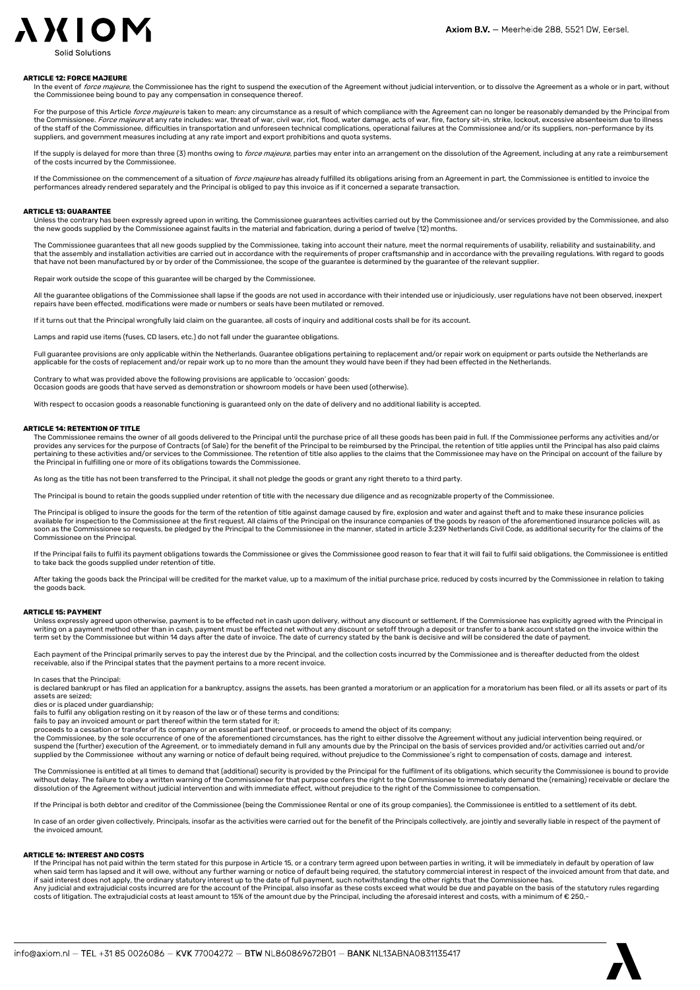

#### ARTICLE 12: FORCE MAJEURE

In the event of *force majeure,* the Commissionee has the right to suspend the execution of the Agreement without judicial intervention, or to dissolve the Agreement as a whole or in part, without the Commissionee being bound to pay any compensation in consequence thereof.

For the purpose of this Article force majeure is taken to mean: any circumstance as a result of which compliance with the Agreement can no longer be reasonably demanded by the Principal from the Commissionee. Force majeure at any rate includes: war, threat of war, civil war, riot, flood, water damage, acts of war, fire, factory sit-in, strike, lockout, excessive absenteeism due to illness of the staff of the Commissionee, difficulties in transportation and unforeseen technical complications, operational failures at the Commissionee and/or its suppliers, non-performance by its suppliers, and government measures including at any rate import and export prohibitions and quota systems.

If the supply is delayed for more than three (3) months owing to *force majeure*, parties may enter into an arrangement on the dissolution of the Agreement, including at any rate a reimbursement of the costs incurred by the Commissionee.

If the Commissionee on the commencement of a situation of force majeure has already fulfilled its obligations arising from an Agreement in part, the Commissionee is entitled to invoice the performances already rendered separately and the Principal is obliged to pay this invoice as if it concerned a separate transaction.

#### ARTICLE 13: GUARANTEE

Unless the contrary has been expressly agreed upon in writing, the Commissionee guarantees activities carried out by the Commissionee and/or services provided by the Commissionee, and also<br>the new goods supplied by the Com

The Commissionee guarantees that all new goods supplied by the Commissionee, taking into account their nature, meet the normal requirements of usability, reliability, and sustainability, and that the assembly and installation activities are carried out in accordance with the requirements of proper craftsmanship and in accordance with the prevailing regulations. With regard to goods that have not been manufactured by or by order of the Commissionee, the scope of the guarantee is determined by the guarantee of the relevant supplier.

Repair work outside the scope of this guarantee will be charged by the Commissionee.

All the guarantee obligations of the Commissionee shall lapse if the goods are not used in accordance with their intended use or injudiciously, user regulations have not been observed, inexpert<br>repairs have been effected,

If it turns out that the Principal wrongfully laid claim on the guarantee, all costs of inquiry and additional costs shall be for its account.

Lamps and rapid use items (fuses, CD lasers, etc.) do not fall under the guarantee obligations.

Full guarantee provisions are only applicable within the Netherlands. Guarantee obligations pertaining to replacement and/or repair work on equipment or parts outside the Netherlands are applicable for the costs of replacement and/or repair work up to no more than the amount they would have been if they had been effected in the Netherlands.

Contrary to what was provided above the following provisions are applicable to 'occasion' goods: Occasion goods are goods that have served as demonstration or showroom models or have been used (otherwise).

With respect to occasion goods a reasonable functioning is guaranteed only on the date of delivery and no additional liability is accepted.

#### ARTICLE 14: RETENTION OF TITLE

The Commissionee remains the owner of all goods delivered to the Principal until the purchase price of all these goods has been paid in full. If the Commissionee performs any activities and/or<br>provides any services for the pertaining to these activities and/or services to the Commissionee. The retention of title also applies to the claims that the Commissionee may have on the Principal on account of the failure by<br>the Principal in fulfilling

As long as the title has not been transferred to the Principal, it shall not pledge the goods or grant any right thereto to a third party.

The Principal is bound to retain the goods supplied under retention of title with the necessary due diligence and as recognizable property of the Commissionee.

The Principal is obliged to insure the goods for the term of the retention of title against damage caused by fire, explosion and water and against theft and to make these insurance policies available for inspection to the Commissionee at the first request. All claims of the Principal on the insurance companies of the goods by reason of the aforementioned insurance policies will, as<br>soon as the Commissionee so Commissionee on the Principal.

If the Principal fails to fulfil its payment obligations towards the Commissionee or gives the Commissionee good reason to fear that it will fail to fulfil said obligations, the Commissionee is entitled to take back the goods supplied under retention of title.

After taking the goods back the Principal will be credited for the market value, up to a maximum of the initial purchase price, reduced by costs incurred by the Commissionee in relation to taking the goods back.

#### ARTICLE 15: PAYMENT

Unless expressly agreed upon otherwise, payment is to be effected net in cash upon delivery, without any discount or settlement. If the Commissionee has explicitly agreed with the Principal in writing on a payment method other than in cash, payment must be effected net without any discount or setoff through a deposit or transfer to a bank account stated on the invoice within the<br>term set by the Commissionee but

Each payment of the Principal primarily serves to pay the interest due by the Principal, and the collection costs incurred by the Commissionee and is thereafter deducted from the oldest receivable, also if the Principal states that the payment pertains to a more recent invoice.

In cases that the Principal:

is declared bankrupt or has filed an application for a bankruptcy, assigns the assets, has been granted a moratorium or an application for a moratorium has been filed, or all its assets or part of its assets are seized;

dies or is placed under guardianship;

fails to fulfil any obligation resting on it by reason of the law or of these terms and conditions;

fails to pay an invoiced amount or part thereof within the term stated for it; proceeds to a cessation or transfer of its company or an essential part thereof, or proceeds to amend the object of its company;

the Commissionee, by the sole occurrence of one of the aforementioned circumstances, has the right to either dissolve the Agreement without any judicial intervention being required, or<br>suspend the (further) execution of th supplied by the Commissionee without any warning or notice of default being required, without prejudice to the Commissionee's right to compensation of costs, damage and interest.

The Commissionee is entitled at all times to demand that (additional) security is provided by the Principal for the fulfilment of its obligations, which security the Commissionee is bound to provide<br>without delay. The fail dissolution of the Agreement without judicial intervention and with immediate effect, without prejudice to the right of the Commissionee to compensation.

If the Principal is both debtor and creditor of the Commissionee (being the Commissionee Rental or one of its group companies), the Commissionee is entitled to a settlement of its debt.

In case of an order given collectively, Principals, insofar as the activities were carried out for the benefit of the Principals collectively, are jointly and severally liable in respect of the payment of the invoiced amount.

### ARTICLE 16: INTEREST AND COSTS

If the Principal has not paid within the term stated for this purpose in Article 15, or a contrary term agreed upon between parties in writing, it will be immediately in default by operation of law<br>when said term has lapse if said interest does not apply, the ordinary statutory interest up to the date of full payment, such notwithstanding the other rights that the Commissionee has.<br>Any judicial and extrajudicial costs incurred are for the ac costs of litigation. The extrajudicial costs at least amount to 15% of the amount due by the Principal, including the aforesaid interest and costs, with a minimum of € 250,-